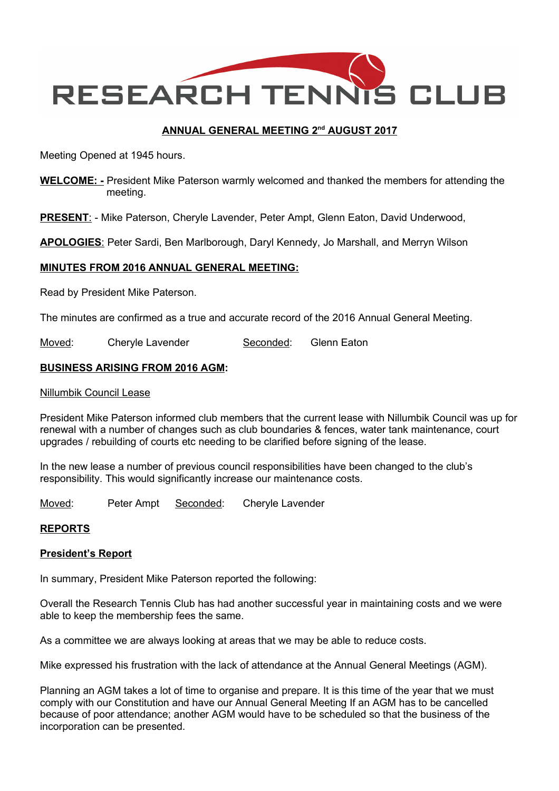

## <u>ANNUAL GENERAL MEETING 2<sup>nd</sup> AUGUST 2017</u>

Meeting Opened at 1945 hours.

WELCOME: - President Mike Paterson warmly welcomed and thanked the members for attending the meeting.

**PRESENT:** - Mike Paterson, Cheryle Lavender, Peter Ampt, Glenn Eaton, David Underwood,

APOLOGIES: Peter Sardi, Ben Marlborough, Daryl Kennedy, Jo Marshall, and Merryn Wilson

#### MINUTES FROM 2016 ANNUAL GENERAL MEETING:

Read by President Mike Paterson.

The minutes are confirmed as a true and accurate record of the 2016 Annual General Meeting.

Moved: Cheryle Lavender Seconded: Glenn Eaton

#### BUSINESS ARISING FROM 2016 AGM:

#### Nillumbik Council Lease

President Mike Paterson informed club members that the current lease with Nillumbik Council was up for renewal with a number of changes such as club boundaries & fences, water tank maintenance, court upgrades / rebuilding of courts etc needing to be clarified before signing of the lease.

In the new lease a number of previous council responsibilities have been changed to the club's responsibility. This would significantly increase our maintenance costs.

Moved: Peter Ampt Seconded: Cheryle Lavender

#### REPORTS

#### President's Report

In summary, President Mike Paterson reported the following:

Overall the Research Tennis Club has had another successful year in maintaining costs and we were able to keep the membership fees the same.

As a committee we are always looking at areas that we may be able to reduce costs.

Mike expressed his frustration with the lack of attendance at the Annual General Meetings (AGM).

Planning an AGM takes a lot of time to organise and prepare. It is this time of the year that we must comply with our Constitution and have our Annual General Meeting If an AGM has to be cancelled because of poor attendance; another AGM would have to be scheduled so that the business of the incorporation can be presented.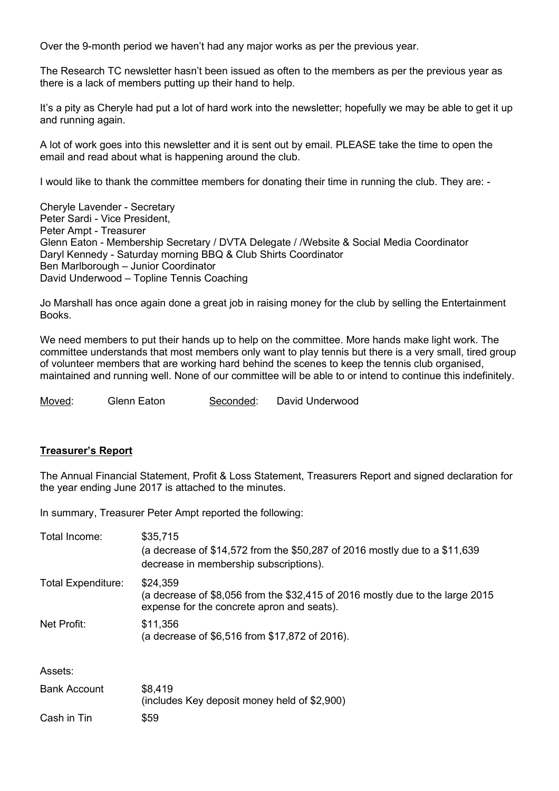Over the 9-month period we haven't had any major works as per the previous year.

The Research TC newsletter hasn't been issued as often to the members as per the previous year as there is a lack of members putting up their hand to help.

It's a pity as Cheryle had put a lot of hard work into the newsletter; hopefully we may be able to get it up and running again.

A lot of work goes into this newsletter and it is sent out by email. PLEASE take the time to open the email and read about what is happening around the club.

I would like to thank the committee members for donating their time in running the club. They are: -

Cheryle Lavender - Secretary Peter Sardi - Vice President, Peter Ampt - Treasurer Glenn Eaton - Membership Secretary / DVTA Delegate / /Website & Social Media Coordinator Daryl Kennedy - Saturday morning BBQ & Club Shirts Coordinator Ben Marlborough – Junior Coordinator David Underwood – Topline Tennis Coaching

Jo Marshall has once again done a great job in raising money for the club by selling the Entertainment Books.

We need members to put their hands up to help on the committee. More hands make light work. The committee understands that most members only want to play tennis but there is a very small, tired group of volunteer members that are working hard behind the scenes to keep the tennis club organised, maintained and running well. None of our committee will be able to or intend to continue this indefinitely.

Moved: Glenn Eaton Seconded: David Underwood

#### Treasurer's Report

The Annual Financial Statement, Profit & Loss Statement, Treasurers Report and signed declaration for the year ending June 2017 is attached to the minutes.

In summary, Treasurer Peter Ampt reported the following:

| Total Income:             | \$35,715<br>(a decrease of \$14,572 from the \$50,287 of 2016 mostly due to a \$11,639<br>decrease in membership subscriptions).        |
|---------------------------|-----------------------------------------------------------------------------------------------------------------------------------------|
| <b>Total Expenditure:</b> | \$24,359<br>(a decrease of \$8,056 from the \$32,415 of 2016 mostly due to the large 2015<br>expense for the concrete apron and seats). |
| Net Profit:               | \$11,356<br>(a decrease of \$6,516 from \$17,872 of 2016).                                                                              |
| Assets:                   |                                                                                                                                         |
| <b>Bank Account</b>       | \$8,419<br>(includes Key deposit money held of \$2,900)                                                                                 |
| Cash in Tin               | \$59                                                                                                                                    |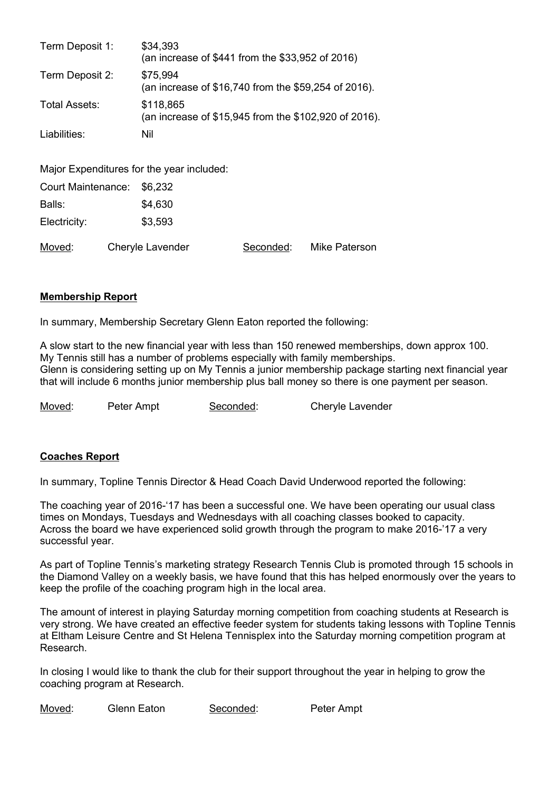| Term Deposit 1: | \$34,393<br>(an increase of \$441 from the \$33,952 of 2016)       |
|-----------------|--------------------------------------------------------------------|
| Term Deposit 2: | \$75,994<br>(an increase of \$16,740 from the \$59,254 of 2016).   |
| Total Assets:   | \$118,865<br>(an increase of \$15,945 from the \$102,920 of 2016). |
| Liabilities:    | Nil                                                                |

Major Expenditures for the year included:

|              | Court Maintenance: \$6,232 |           |               |
|--------------|----------------------------|-----------|---------------|
| Balls:       | \$4,630                    |           |               |
| Electricity: | \$3,593                    |           |               |
| Moved:       | Cheryle Lavender           | Seconded: | Mike Paterson |

#### Membership Report

In summary, Membership Secretary Glenn Eaton reported the following:

A slow start to the new financial year with less than 150 renewed memberships, down approx 100. My Tennis still has a number of problems especially with family memberships. Glenn is considering setting up on My Tennis a junior membership package starting next financial year that will include 6 months junior membership plus ball money so there is one payment per season.

Moved: Peter Ampt Seconded: Cheryle Lavender

# Coaches Report

In summary, Topline Tennis Director & Head Coach David Underwood reported the following:

The coaching year of 2016-'17 has been a successful one. We have been operating our usual class times on Mondays, Tuesdays and Wednesdays with all coaching classes booked to capacity. Across the board we have experienced solid growth through the program to make 2016-'17 a very successful year.

As part of Topline Tennis's marketing strategy Research Tennis Club is promoted through 15 schools in the Diamond Valley on a weekly basis, we have found that this has helped enormously over the years to keep the profile of the coaching program high in the local area.

The amount of interest in playing Saturday morning competition from coaching students at Research is very strong. We have created an effective feeder system for students taking lessons with Topline Tennis at Eltham Leisure Centre and St Helena Tennisplex into the Saturday morning competition program at Research.

In closing I would like to thank the club for their support throughout the year in helping to grow the coaching program at Research.

Moved: Glenn Eaton Seconded: Peter Ampt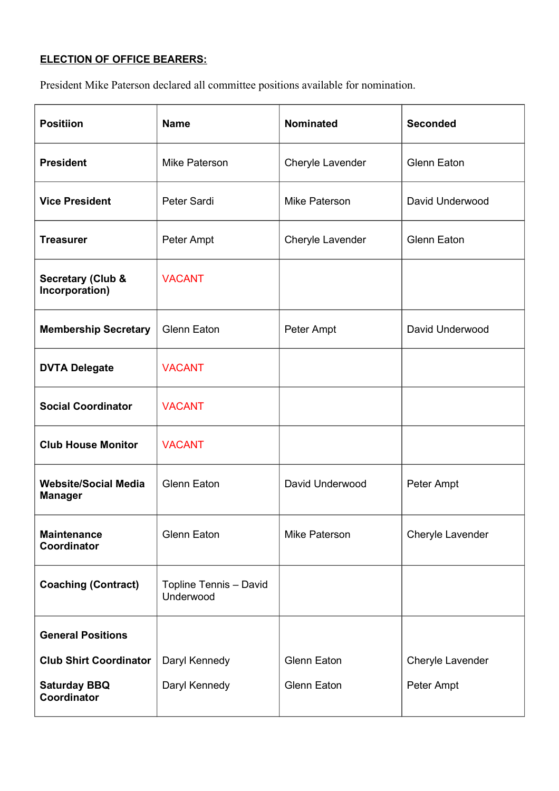# ELECTION OF OFFICE BEARERS:

President Mike Paterson declared all committee positions available for nomination.

| <b>Positiion</b>                               | <b>Name</b>                         | <b>Nominated</b>   | <b>Seconded</b>    |
|------------------------------------------------|-------------------------------------|--------------------|--------------------|
| <b>President</b>                               | <b>Mike Paterson</b>                | Cheryle Lavender   | <b>Glenn Eaton</b> |
| <b>Vice President</b>                          | Peter Sardi                         | Mike Paterson      | David Underwood    |
| <b>Treasurer</b>                               | Peter Ampt                          | Cheryle Lavender   | <b>Glenn Eaton</b> |
| <b>Secretary (Club &amp;</b><br>Incorporation) | <b>VACANT</b>                       |                    |                    |
| <b>Membership Secretary</b>                    | <b>Glenn Eaton</b>                  | Peter Ampt         | David Underwood    |
| <b>DVTA Delegate</b>                           | <b>VACANT</b>                       |                    |                    |
| <b>Social Coordinator</b>                      | <b>VACANT</b>                       |                    |                    |
| <b>Club House Monitor</b>                      | <b>VACANT</b>                       |                    |                    |
| <b>Website/Social Media</b><br><b>Manager</b>  | <b>Glenn Eaton</b>                  | David Underwood    | Peter Ampt         |
| <b>Maintenance</b><br>Coordinator              | <b>Glenn Eaton</b>                  | Mike Paterson      | Cheryle Lavender   |
| <b>Coaching (Contract)</b>                     | Topline Tennis - David<br>Underwood |                    |                    |
| <b>General Positions</b>                       |                                     |                    |                    |
| <b>Club Shirt Coordinator</b>                  | Daryl Kennedy                       | <b>Glenn Eaton</b> | Cheryle Lavender   |
| <b>Saturday BBQ</b><br>Coordinator             | Daryl Kennedy                       | <b>Glenn Eaton</b> | Peter Ampt         |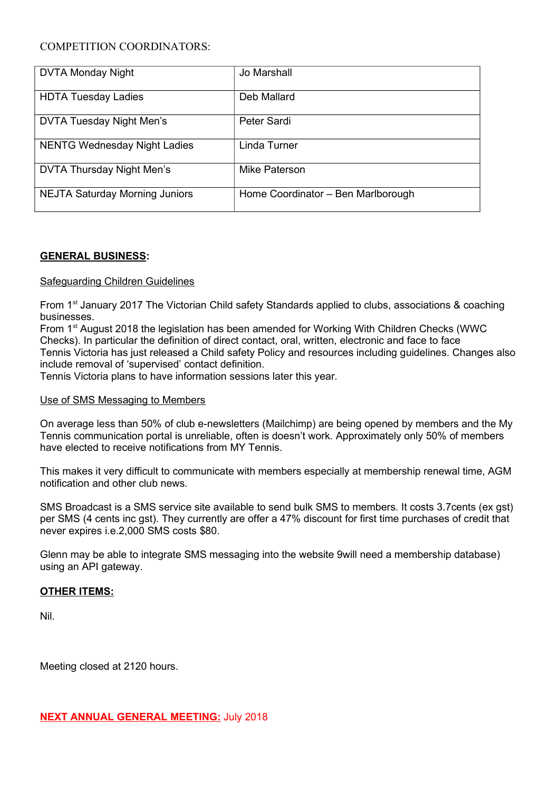### COMPETITION COORDINATORS:

| <b>DVTA Monday Night</b>              | Jo Marshall                        |
|---------------------------------------|------------------------------------|
| <b>HDTA Tuesday Ladies</b>            | Deb Mallard                        |
| <b>DVTA Tuesday Night Men's</b>       | Peter Sardi                        |
| <b>NENTG Wednesday Night Ladies</b>   | Linda Turner                       |
| DVTA Thursday Night Men's             | Mike Paterson                      |
| <b>NEJTA Saturday Morning Juniors</b> | Home Coordinator - Ben Marlborough |

#### GENERAL BUSINESS:

#### Safeguarding Children Guidelines

From 1st January 2017 The Victorian Child safety Standards applied to clubs, associations & coaching businesses.

From 1<sup>st</sup> August 2018 the legislation has been amended for Working With Children Checks (WWC Checks). In particular the definition of direct contact, oral, written, electronic and face to face Tennis Victoria has just released a Child safety Policy and resources including guidelines. Changes also include removal of 'supervised' contact definition.

Tennis Victoria plans to have information sessions later this year.

#### Use of SMS Messaging to Members

On average less than 50% of club e-newsletters (Mailchimp) are being opened by members and the My Tennis communication portal is unreliable, often is doesn't work. Approximately only 50% of members have elected to receive notifications from MY Tennis.

This makes it very difficult to communicate with members especially at membership renewal time, AGM notification and other club news.

SMS Broadcast is a SMS service site available to send bulk SMS to members. It costs 3.7cents (ex gst) per SMS (4 cents inc gst). They currently are offer a 47% discount for first time purchases of credit that never expires i.e.2,000 SMS costs \$80.

Glenn may be able to integrate SMS messaging into the website 9will need a membership database) using an API gateway.

#### OTHER ITEMS:

Nil.

Meeting closed at 2120 hours.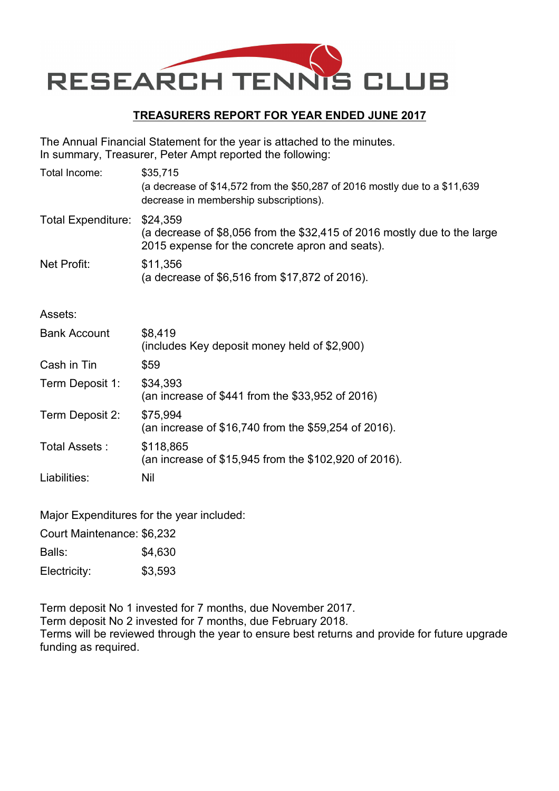

# TREASURERS REPORT FOR YEAR ENDED JUNE 2017

The Annual Financial Statement for the year is attached to the minutes. In summary, Treasurer, Peter Ampt reported the following:

| Total Income:             | \$35,715<br>(a decrease of \$14,572 from the \$50,287 of 2016 mostly due to a \$11,639<br>decrease in membership subscriptions).        |
|---------------------------|-----------------------------------------------------------------------------------------------------------------------------------------|
| <b>Total Expenditure:</b> | \$24,359<br>(a decrease of \$8,056 from the \$32,415 of 2016 mostly due to the large<br>2015 expense for the concrete apron and seats). |
| Net Profit:               | \$11,356<br>(a decrease of \$6,516 from \$17,872 of 2016).                                                                              |
| Assets:                   |                                                                                                                                         |
| <b>Bank Account</b>       | \$8,419<br>(includes Key deposit money held of \$2,900)                                                                                 |
| Cash in Tin               | \$59                                                                                                                                    |
| Term Deposit 1:           | \$34,393<br>(an increase of \$441 from the \$33,952 of 2016)                                                                            |
| Term Deposit 2:           | \$75,994<br>(an increase of \$16,740 from the \$59,254 of 2016).                                                                        |
| Total Assets:             | \$118,865<br>(an increase of \$15,945 from the \$102,920 of 2016).                                                                      |
| Liabilities:              | Nil                                                                                                                                     |

Major Expenditures for the year included:

Court Maintenance: \$6,232

Balls: \$4,630

Electricity: \$3,593

Term deposit No 1 invested for 7 months, due November 2017. Term deposit No 2 invested for 7 months, due February 2018. Terms will be reviewed through the year to ensure best returns and provide for future upgrade funding as required.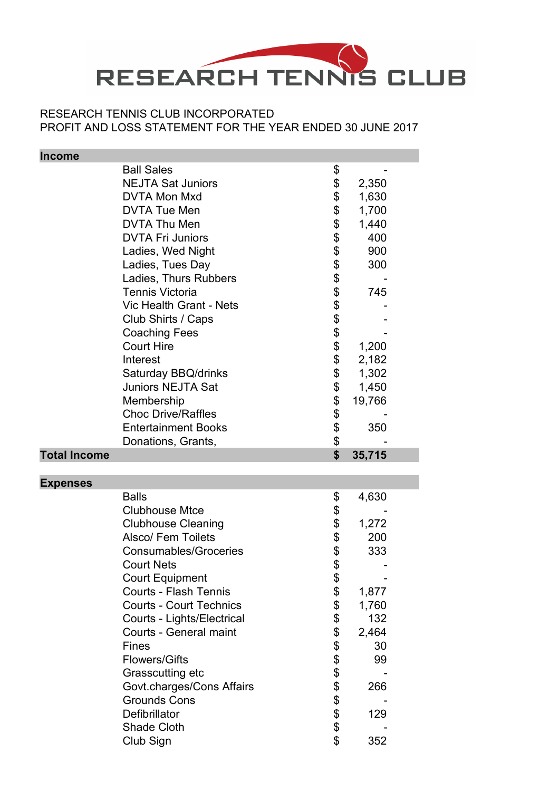

# RESEARCH TENNIS CLUB INCORPORATED PROFIT AND LOSS STATEMENT FOR THE YEAR ENDED 30 JUNE 2017

| <b>Income</b>       |                                                                |                                              |              |  |
|---------------------|----------------------------------------------------------------|----------------------------------------------|--------------|--|
|                     | <b>Ball Sales</b>                                              | \$                                           |              |  |
|                     | <b>NEJTA Sat Juniors</b>                                       |                                              | 2,350        |  |
|                     | <b>DVTA Mon Mxd</b>                                            |                                              | 1,630        |  |
|                     | <b>DVTA Tue Men</b>                                            |                                              | 1,700        |  |
|                     | DVTA Thu Men                                                   |                                              | 1,440        |  |
|                     | <b>DVTA Fri Juniors</b>                                        |                                              | 400          |  |
|                     | Ladies, Wed Night                                              |                                              | 900          |  |
|                     | Ladies, Tues Day                                               |                                              | 300          |  |
|                     | Ladies, Thurs Rubbers                                          |                                              |              |  |
|                     | <b>Tennis Victoria</b>                                         |                                              | 745          |  |
|                     | <b>Vic Health Grant - Nets</b>                                 |                                              |              |  |
|                     | Club Shirts / Caps                                             |                                              |              |  |
|                     | <b>Coaching Fees</b>                                           |                                              |              |  |
|                     | <b>Court Hire</b>                                              |                                              | 1,200        |  |
|                     | Interest                                                       |                                              | 2,182        |  |
|                     | Saturday BBQ/drinks                                            | \$\$\$\$\$\$\$\$\$\$\$\$\$\$\$\$\$\$\$\$\$\$ | 1,302        |  |
|                     | <b>Juniors NEJTA Sat</b>                                       |                                              | 1,450        |  |
|                     | Membership                                                     |                                              | 19,766       |  |
|                     | <b>Choc Drive/Raffles</b>                                      |                                              |              |  |
|                     | <b>Entertainment Books</b>                                     |                                              | 350          |  |
|                     | Donations, Grants,                                             | \$                                           |              |  |
|                     |                                                                |                                              |              |  |
|                     |                                                                |                                              |              |  |
| <b>Total Income</b> |                                                                | \$                                           | 35,715       |  |
|                     |                                                                |                                              |              |  |
| <b>Expenses</b>     | <b>Balls</b>                                                   |                                              |              |  |
|                     | <b>Clubhouse Mtce</b>                                          | \$                                           | 4,630        |  |
|                     |                                                                |                                              |              |  |
|                     | <b>Clubhouse Cleaning</b><br><b>Alsco/ Fem Toilets</b>         |                                              | 1,272<br>200 |  |
|                     | <b>Consumables/Groceries</b>                                   |                                              |              |  |
|                     | <b>Court Nets</b>                                              |                                              | 333          |  |
|                     |                                                                | <b>3 \$ \$ \$ \$</b>                         |              |  |
|                     | <b>Court Equipment</b>                                         | \$                                           |              |  |
|                     | <b>Courts - Flash Tennis</b><br><b>Courts - Court Technics</b> |                                              | 1,877        |  |
|                     |                                                                |                                              | 1,760        |  |
|                     | Courts - Lights/Electrical                                     |                                              | 132          |  |
|                     | <b>Courts - General maint</b><br><b>Fines</b>                  |                                              | 2,464        |  |
|                     |                                                                |                                              | 30           |  |
|                     | <b>Flowers/Gifts</b>                                           |                                              | 99           |  |
|                     | Grasscutting etc                                               |                                              |              |  |
|                     | Govt.charges/Cons Affairs                                      |                                              | 266          |  |
|                     | <b>Grounds Cons</b>                                            |                                              |              |  |
|                     | Defibrillator<br><b>Shade Cloth</b>                            |                                              | 129          |  |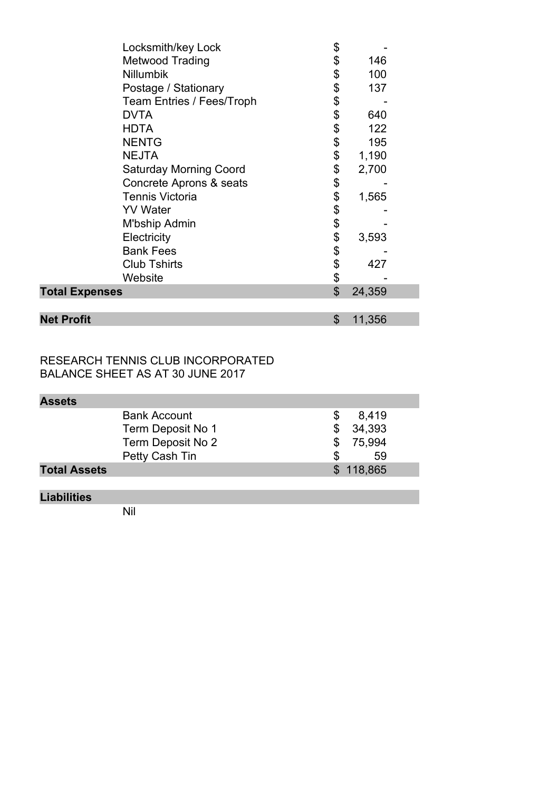| Locksmith/key Lock               | \$       |        |  |
|----------------------------------|----------|--------|--|
| <b>Metwood Trading</b>           | \$       | 146    |  |
| <b>Nillumbik</b>                 | \$       | 100    |  |
| Postage / Stationary             | \$       | 137    |  |
| <b>Team Entries / Fees/Troph</b> | \$       |        |  |
| <b>DVTA</b>                      | \$       | 640    |  |
| <b>HDTA</b>                      | \$       | 122    |  |
| <b>NENTG</b>                     | \$       | 195    |  |
| <b>NEJTA</b>                     | \$       | 1,190  |  |
| <b>Saturday Morning Coord</b>    | \$       | 2,700  |  |
| Concrete Aprons & seats          | \$       |        |  |
| <b>Tennis Victoria</b>           | \$       | 1,565  |  |
| <b>YV</b> Water                  |          |        |  |
| M'bship Admin                    | \$\$\$\$ |        |  |
| Electricity                      |          | 3,593  |  |
| <b>Bank Fees</b>                 |          |        |  |
| <b>Club Tshirts</b>              | \$       | 427    |  |
| Website                          | \$       |        |  |
| <b>Total Expenses</b>            | \$       | 24,359 |  |
|                                  |          |        |  |
| <b>Net Profit</b>                | \$       | 11,356 |  |

RESEARCH TENNIS CLUB INCORPORATED BALANCE SHEET AS AT 30 JUNE 2017

| <b>Assets</b>       |   |           |  |
|---------------------|---|-----------|--|
| <b>Bank Account</b> |   | 8,419     |  |
| Term Deposit No 1   |   | 34,393    |  |
| Term Deposit No 2   | S | 75.994    |  |
| Petty Cash Tin      |   | 59        |  |
| <b>Total Assets</b> |   | \$118,865 |  |

# Liabilities

Nil